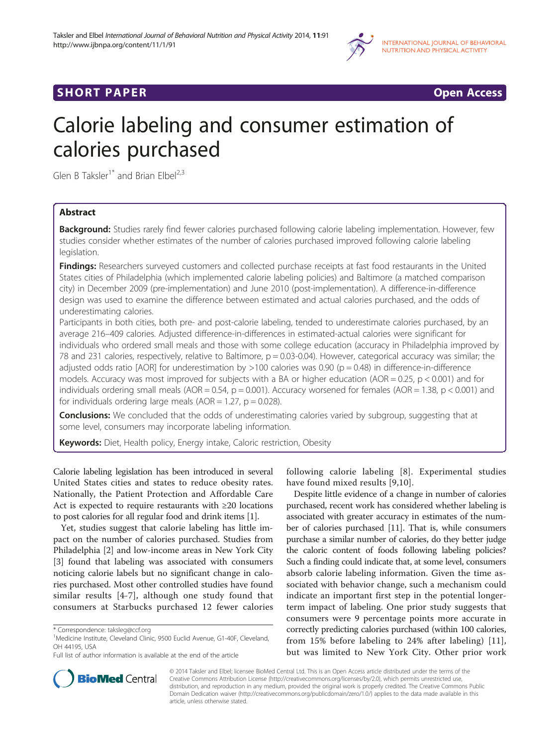

## **SHORT PAPER SHORT PAPER CONSTRUCTER CONSTRUCTER CONSTRUCTER CONSTRUCTER**

# Calorie labeling and consumer estimation of calories purchased

Glen B Taksler<sup>1\*</sup> and Brian Elbel<sup>2,3</sup>

## Abstract

Background: Studies rarely find fewer calories purchased following calorie labeling implementation. However, few studies consider whether estimates of the number of calories purchased improved following calorie labeling legislation.

Findings: Researchers surveyed customers and collected purchase receipts at fast food restaurants in the United States cities of Philadelphia (which implemented calorie labeling policies) and Baltimore (a matched comparison city) in December 2009 (pre-implementation) and June 2010 (post-implementation). A difference-in-difference design was used to examine the difference between estimated and actual calories purchased, and the odds of underestimating calories.

Participants in both cities, both pre- and post-calorie labeling, tended to underestimate calories purchased, by an average 216–409 calories. Adjusted difference-in-differences in estimated-actual calories were significant for individuals who ordered small meals and those with some college education (accuracy in Philadelphia improved by 78 and 231 calories, respectively, relative to Baltimore, p = 0.03-0.04). However, categorical accuracy was similar; the adjusted odds ratio [AOR] for underestimation by  $>100$  calories was 0.90 (p = 0.48) in difference-in-difference models. Accuracy was most improved for subjects with a BA or higher education (AOR = 0.25,  $p < 0.001$ ) and for individuals ordering small meals (AOR = 0.54,  $p = 0.001$ ). Accuracy worsened for females (AOR = 1.38,  $p < 0.001$ ) and for individuals ordering large meals ( $AOR = 1.27$ ,  $p = 0.028$ ).

**Conclusions:** We concluded that the odds of underestimating calories varied by subgroup, suggesting that at some level, consumers may incorporate labeling information.

Keywords: Diet, Health policy, Energy intake, Caloric restriction, Obesity

Calorie labeling legislation has been introduced in several United States cities and states to reduce obesity rates. Nationally, the Patient Protection and Affordable Care Act is expected to require restaurants with ≥20 locations to post calories for all regular food and drink items [[1\]](#page-7-0).

Yet, studies suggest that calorie labeling has little impact on the number of calories purchased. Studies from Philadelphia [\[2\]](#page-7-0) and low-income areas in New York City [[3\]](#page-7-0) found that labeling was associated with consumers noticing calorie labels but no significant change in calories purchased. Most other controlled studies have found similar results [[4-7\]](#page-7-0), although one study found that consumers at Starbucks purchased 12 fewer calories



Despite little evidence of a change in number of calories purchased, recent work has considered whether labeling is associated with greater accuracy in estimates of the number of calories purchased [[11](#page-7-0)]. That is, while consumers purchase a similar number of calories, do they better judge the caloric content of foods following labeling policies? Such a finding could indicate that, at some level, consumers absorb calorie labeling information. Given the time associated with behavior change, such a mechanism could indicate an important first step in the potential longerterm impact of labeling. One prior study suggests that consumers were 9 percentage points more accurate in correctly predicting calories purchased (within 100 calories, from 15% before labeling to 24% after labeling) [[11](#page-7-0)], but was limited to New York City. Other prior work



© 2014 Taksler and Elbel; licensee BioMed Central Ltd. This is an Open Access article distributed under the terms of the Creative Commons Attribution License ([http://creativecommons.org/licenses/by/2.0](http://creativecommons.org/licenses/by/4.0)), which permits unrestricted use, distribution, and reproduction in any medium, provided the original work is properly credited. The Creative Commons Public Domain Dedication waiver [\(http://creativecommons.org/publicdomain/zero/1.0/\)](http://creativecommons.org/publicdomain/zero/1.0/) applies to the data made available in this article, unless otherwise stated.

<sup>\*</sup> Correspondence: [taksleg@ccf.org](mailto:taksleg@ccf.org) <sup>1</sup>

<sup>&</sup>lt;sup>1</sup>Medicine Institute, Cleveland Clinic, 9500 Euclid Avenue, G1-40F, Cleveland, OH 44195, USA

Full list of author information is available at the end of the article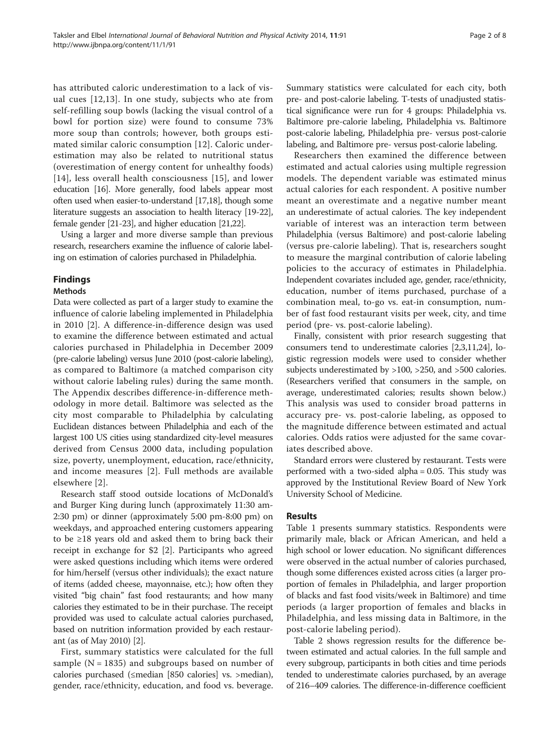has attributed caloric underestimation to a lack of visual cues [\[12,13](#page-7-0)]. In one study, subjects who ate from self-refilling soup bowls (lacking the visual control of a bowl for portion size) were found to consume 73% more soup than controls; however, both groups estimated similar caloric consumption [\[12](#page-7-0)]. Caloric underestimation may also be related to nutritional status (overestimation of energy content for unhealthy foods) [[14](#page-7-0)], less overall health consciousness [\[15](#page-7-0)], and lower education [\[16](#page-7-0)]. More generally, food labels appear most often used when easier-to-understand [[17,18](#page-7-0)], though some literature suggests an association to health literacy [\[19-22](#page-7-0)], female gender [\[21-23\]](#page-7-0), and higher education [[21,22](#page-7-0)].

Using a larger and more diverse sample than previous research, researchers examine the influence of calorie labeling on estimation of calories purchased in Philadelphia.

## Findings

## Methods

Data were collected as part of a larger study to examine the influence of calorie labeling implemented in Philadelphia in 2010 [[2\]](#page-7-0). A difference-in-difference design was used to examine the difference between estimated and actual calories purchased in Philadelphia in December 2009 (pre-calorie labeling) versus June 2010 (post-calorie labeling), as compared to Baltimore (a matched comparison city without calorie labeling rules) during the same month. The [Appendix](#page-4-0) describes difference-in-difference methodology in more detail. Baltimore was selected as the city most comparable to Philadelphia by calculating Euclidean distances between Philadelphia and each of the largest 100 US cities using standardized city-level measures derived from Census 2000 data, including population size, poverty, unemployment, education, race/ethnicity, and income measures [[2\]](#page-7-0). Full methods are available elsewhere [[2](#page-7-0)].

Research staff stood outside locations of McDonald's and Burger King during lunch (approximately 11:30 am-2:30 pm) or dinner (approximately 5:00 pm-8:00 pm) on weekdays, and approached entering customers appearing to be ≥18 years old and asked them to bring back their receipt in exchange for \$2 [[2](#page-7-0)]. Participants who agreed were asked questions including which items were ordered for him/herself (versus other individuals); the exact nature of items (added cheese, mayonnaise, etc.); how often they visited "big chain" fast food restaurants; and how many calories they estimated to be in their purchase. The receipt provided was used to calculate actual calories purchased, based on nutrition information provided by each restaurant (as of May 2010) [[2](#page-7-0)].

First, summary statistics were calculated for the full sample ( $N = 1835$ ) and subgroups based on number of calories purchased (≤median [850 calories] vs. >median), gender, race/ethnicity, education, and food vs. beverage. Summary statistics were calculated for each city, both pre- and post-calorie labeling. T-tests of unadjusted statistical significance were run for 4 groups: Philadelphia vs. Baltimore pre-calorie labeling, Philadelphia vs. Baltimore post-calorie labeling, Philadelphia pre- versus post-calorie labeling, and Baltimore pre- versus post-calorie labeling.

Researchers then examined the difference between estimated and actual calories using multiple regression models. The dependent variable was estimated minus actual calories for each respondent. A positive number meant an overestimate and a negative number meant an underestimate of actual calories. The key independent variable of interest was an interaction term between Philadelphia (versus Baltimore) and post-calorie labeling (versus pre-calorie labeling). That is, researchers sought to measure the marginal contribution of calorie labeling policies to the accuracy of estimates in Philadelphia. Independent covariates included age, gender, race/ethnicity, education, number of items purchased, purchase of a combination meal, to-go vs. eat-in consumption, number of fast food restaurant visits per week, city, and time period (pre- vs. post-calorie labeling).

Finally, consistent with prior research suggesting that consumers tend to underestimate calories [\[2,3,11,24\]](#page-7-0), logistic regression models were used to consider whether subjects underestimated by >100, >250, and >500 calories. (Researchers verified that consumers in the sample, on average, underestimated calories; results shown below.) This analysis was used to consider broad patterns in accuracy pre- vs. post-calorie labeling, as opposed to the magnitude difference between estimated and actual calories. Odds ratios were adjusted for the same covariates described above.

Standard errors were clustered by restaurant. Tests were performed with a two-sided alpha = 0.05. This study was approved by the Institutional Review Board of New York University School of Medicine.

## Results

Table [1](#page-2-0) presents summary statistics. Respondents were primarily male, black or African American, and held a high school or lower education. No significant differences were observed in the actual number of calories purchased, though some differences existed across cities (a larger proportion of females in Philadelphia, and larger proportion of blacks and fast food visits/week in Baltimore) and time periods (a larger proportion of females and blacks in Philadelphia, and less missing data in Baltimore, in the post-calorie labeling period).

Table [2](#page-3-0) shows regression results for the difference between estimated and actual calories. In the full sample and every subgroup, participants in both cities and time periods tended to underestimate calories purchased, by an average of 216–409 calories. The difference-in-difference coefficient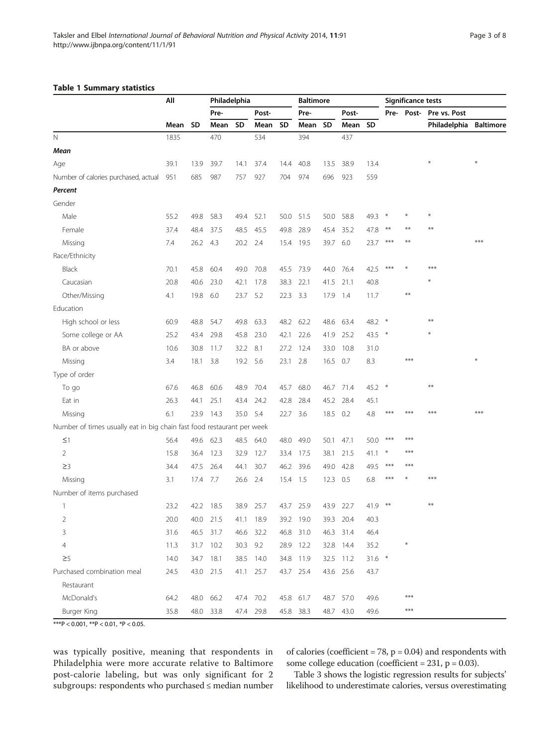## <span id="page-2-0"></span>Table 1 Summary statistics

|                                                                        | Αll  |           | Philadelphia |          |           | <b>Baltimore</b> |           |          |           | Significance tests |        |           |              |                  |
|------------------------------------------------------------------------|------|-----------|--------------|----------|-----------|------------------|-----------|----------|-----------|--------------------|--------|-----------|--------------|------------------|
|                                                                        |      |           | Pre-         |          | Post-     |                  | Pre-      |          | Post-     |                    |        | Pre-Post- | Pre vs. Post |                  |
|                                                                        | Mean | <b>SD</b> | Mean         | SD       | Mean      | <b>SD</b>        | Mean      | SD       | Mean      | <b>SD</b>          |        |           | Philadelphia | <b>Baltimore</b> |
| $\mathsf{N}$                                                           | 1835 |           | 470          |          | 534       |                  | 394       |          | 437       |                    |        |           |              |                  |
| Mean                                                                   |      |           |              |          |           |                  |           |          |           |                    |        |           |              |                  |
| Age                                                                    | 39.1 | 13.9      | 39.7         | 14.1     | 37.4      | 14.4             | 40.8      | 13.5     | 38.9      | 13.4               |        |           |              |                  |
| Number of calories purchased, actual                                   | 951  | 685       | 987          | 757      | 927       | 704              | 974       | 696      | 923       | 559                |        |           |              |                  |
| Percent                                                                |      |           |              |          |           |                  |           |          |           |                    |        |           |              |                  |
| Gender                                                                 |      |           |              |          |           |                  |           |          |           |                    |        |           |              |                  |
| Male                                                                   | 55.2 | 49.8      | 58.3         | 49.4     | 52.1      |                  | 50.0 51.5 | 50.0     | 58.8      | 49.3               |        |           |              |                  |
| Female                                                                 | 37.4 | 48.4      | 37.5         | 48.5     | 45.5      | 49.8             | 28.9      | 45.4     | 35.2      | 47.8               | $***$  | $**$      | **           |                  |
| Missing                                                                | 7.4  | 26.2 4.3  |              | 20.2 2.4 |           |                  | 15.4 19.5 |          | 39.7 6.0  | 23.7               | $***$  |           |              | ***              |
| Race/Ethnicity                                                         |      |           |              |          |           |                  |           |          |           |                    |        |           |              |                  |
| <b>Black</b>                                                           | 70.1 | 45.8      | 60.4         | 49.0     | 70.8      | 45.5             | 73.9      | 44.0     | 76.4      | 42.5               | ***    |           | ***          |                  |
| Caucasian                                                              | 20.8 | 40.6      | 23.0         | 42.1     | 17.8      | 38.3             | 22.1      |          | 41.5 21.1 | 40.8               |        |           |              |                  |
| Other/Missing                                                          | 4.1  | 19.8      | 6.0          | 23.7     | 5.2       | 22.3             | 3.3       | 17.9 1.4 |           | 11.7               |        | $***$     |              |                  |
| Education                                                              |      |           |              |          |           |                  |           |          |           |                    |        |           |              |                  |
| High school or less                                                    | 60.9 | 48.8      | 54.7         | 49.8     | 63.3      |                  | 48.2 62.2 |          | 48.6 63.4 | 48.2               |        |           | **           |                  |
| Some college or AA                                                     | 25.2 | 43.4      | 29.8         | 45.8     | 23.0      | 42.1             | 22.6      | 41.9     | 25.2      | 43.5               |        |           |              |                  |
| BA or above                                                            | 10.6 | 30.8      | 11.7         | 32.2     | 8.1       | 27.2             | 12.4      | 33.0     | 10.8      | 31.0               |        |           |              |                  |
| Missing                                                                | 3.4  | 18.1      | 3.8          | 19.2 5.6 |           | 23.1             | 2.8       |          | 16.5 0.7  | 8.3                |        | ***       |              |                  |
| Type of order                                                          |      |           |              |          |           |                  |           |          |           |                    |        |           |              |                  |
| To go                                                                  | 67.6 | 46.8      | 60.6         | 48.9     | 70.4      | 45.7             | 68.0      | 46.7     | 71.4      | 45.2               | $\ast$ |           | **           |                  |
| Eat in                                                                 | 26.3 | 44.1      | 25.1         | 43.4     | 24.2      | 42.8             | 28.4      | 45.2     | - 28.4    | 45.1               |        |           |              |                  |
| Missing                                                                | 6.1  | 23.9      | 14.3         | 35.0 5.4 |           | 22.7             | 3.6       |          | 18.5 0.2  | 4.8                | ***    | ***       | ***          | ***              |
| Number of times usually eat in big chain fast food restaurant per week |      |           |              |          |           |                  |           |          |           |                    |        |           |              |                  |
| $\leq$ 1                                                               | 56.4 |           | 49.6 62.3    | 48.5     | 64.0      | 48.0             | 49.0      | 50.1     | 47.1      | 50.0               | ***    | ***       |              |                  |
| $\overline{2}$                                                         | 15.8 | 36.4      | 12.3         | 32.9     | 12.7      | 33.4             | 17.5      | 38.1     | 21.5      | 41.1               |        | ***       |              |                  |
| $\geq$ 3                                                               | 34.4 | 47.5      | 26.4         | 44.1     | 30.7      |                  | 46.2 39.6 | 49.0     | 42.8      | 49.5               | $***$  | ***       |              |                  |
| Missing                                                                | 3.1  | 17.4 7.7  |              | 26.6 2.4 |           | 15.4 1.5         |           | 12.3 0.5 |           | 6.8                | ***    |           | $***$        |                  |
| Number of items purchased                                              |      |           |              |          |           |                  |           |          |           |                    |        |           |              |                  |
| $\mathbf{1}$                                                           | 23.2 | 42.2      | 18.5         | 38.9     | 25.7      | 43.7             | 25.9      |          | 43.9 22.7 | 41.9               | $***$  |           | **           |                  |
| 2                                                                      | 20.0 | 40.0      | 21.5         |          | 41.1 18.9 | 39.2             | 19.0      |          | 39.3 20.4 | 40.3               |        |           |              |                  |
| 3                                                                      | 31.6 | 46.5      | 31.7         | 46.6     | 32.2      | 46.8             | 31.0      |          | 46.3 31.4 | 46.4               |        |           |              |                  |
| 4                                                                      | 11.3 | 31.7      | 10.2         | 30.3 9.2 |           | 28.9             | 12.2      |          | 32.8 14.4 | 35.2               |        | $\ast$    |              |                  |
| $\geq$ 5                                                               | 14.0 | 34.7      | 18.1         |          | 38.5 14.0 | 34.8             | 11.9      |          | 32.5 11.2 | $31.6$ *           |        |           |              |                  |
| Purchased combination meal                                             | 24.5 | 43.0      | 21.5         | 41.1     | 25.7      | 43.7             | 25.4      |          | 43.6 25.6 | 43.7               |        |           |              |                  |
| Restaurant                                                             |      |           |              |          |           |                  |           |          |           |                    |        |           |              |                  |
| McDonald's                                                             | 64.2 | 48.0      | 66.2         |          | 47.4 70.2 |                  | 45.8 61.7 |          | 48.7 57.0 | 49.6               |        | $***$     |              |                  |
| Burger King                                                            | 35.8 | 48.0      | 33.8         |          | 47.4 29.8 |                  | 45.8 38.3 |          | 48.7 43.0 | 49.6               |        | $***$     |              |                  |

\*\*\*P < 0.001, \*\*P < 0.01, \*P < 0.05.

was typically positive, meaning that respondents in Philadelphia were more accurate relative to Baltimore post-calorie labeling, but was only significant for 2 subgroups: respondents who purchased ≤ median number of calories (coefficient =  $78$ ,  $p = 0.04$ ) and respondents with some college education (coefficient =  $231$ , p = 0.03).

Table [3](#page-5-0) shows the logistic regression results for subjects' likelihood to underestimate calories, versus overestimating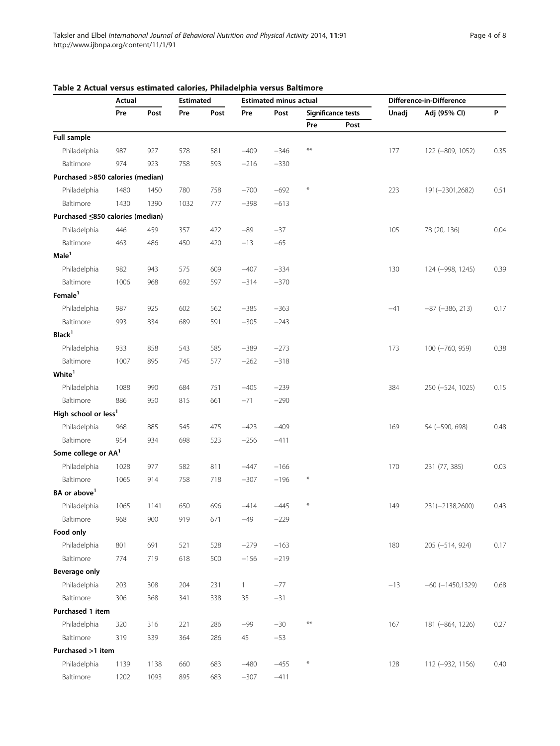|                                  | Actual |      | <b>Estimated</b> |      | <b>Estimated minus actual</b> |        |            |                    | Difference-in-Difference |                        |      |  |
|----------------------------------|--------|------|------------------|------|-------------------------------|--------|------------|--------------------|--------------------------|------------------------|------|--|
|                                  | Pre    | Post |                  | Post | Pre                           | Post   |            | Significance tests | Unadj                    | Adj (95% CI)           | P    |  |
|                                  |        |      |                  |      |                               |        | Pre        | Post               |                          |                        |      |  |
| Full sample                      |        |      |                  |      |                               |        |            |                    |                          |                        |      |  |
| Philadelphia                     | 987    | 927  | 578              | 581  | $-409$                        | $-346$ | $***$      |                    | 177                      | 122 (-809, 1052)       | 0.35 |  |
| Baltimore                        | 974    | 923  | 758              | 593  | $-216$                        | $-330$ |            |                    |                          |                        |      |  |
| Purchased >850 calories (median) |        |      |                  |      |                               |        |            |                    |                          |                        |      |  |
| Philadelphia                     | 1480   | 1450 | 780              | 758  | $-700$                        | $-692$ | $*$        |                    | 223                      | 191(-2301,2682)        | 0.51 |  |
| Baltimore                        | 1430   | 1390 | 1032             | 777  | $-398$                        | $-613$ |            |                    |                          |                        |      |  |
| Purchased ≤850 calories (median) |        |      |                  |      |                               |        |            |                    |                          |                        |      |  |
| Philadelphia                     | 446    | 459  | 357              | 422  | $-89$                         | $-37$  |            |                    | 105                      | 78 (20, 136)           | 0.04 |  |
| Baltimore                        | 463    | 486  | 450              | 420  | $-13$                         | $-65$  |            |                    |                          |                        |      |  |
| Male <sup>1</sup>                |        |      |                  |      |                               |        |            |                    |                          |                        |      |  |
| Philadelphia                     | 982    | 943  | 575              | 609  | $-407$                        | $-334$ |            |                    | 130                      | 124 (-998, 1245)       | 0.39 |  |
| Baltimore                        | 1006   | 968  | 692              | 597  | $-314$                        | $-370$ |            |                    |                          |                        |      |  |
| Female <sup>1</sup>              |        |      |                  |      |                               |        |            |                    |                          |                        |      |  |
| Philadelphia                     | 987    | 925  | 602              | 562  | $-385$                        | $-363$ |            |                    | $-41$                    | $-87$ ( $-386$ , 213)  | 0.17 |  |
| Baltimore                        | 993    | 834  | 689              | 591  | $-305$                        | $-243$ |            |                    |                          |                        |      |  |
| Black <sup>1</sup>               |        |      |                  |      |                               |        |            |                    |                          |                        |      |  |
| Philadelphia                     | 933    | 858  | 543              | 585  | $-389$                        | $-273$ |            |                    | 173                      | 100 (-760, 959)        | 0.38 |  |
| Baltimore                        | 1007   | 895  | 745              | 577  | $-262$                        | $-318$ |            |                    |                          |                        |      |  |
| White <sup>1</sup>               |        |      |                  |      |                               |        |            |                    |                          |                        |      |  |
| Philadelphia                     | 1088   | 990  | 684              | 751  | $-405$                        | $-239$ |            |                    | 384                      | 250 (-524, 1025)       | 0.15 |  |
| Baltimore                        | 886    | 950  | 815              | 661  | $-71$                         | $-290$ |            |                    |                          |                        |      |  |
| High school or less <sup>1</sup> |        |      |                  |      |                               |        |            |                    |                          |                        |      |  |
| Philadelphia                     | 968    | 885  | 545              | 475  | $-423$                        | $-409$ |            |                    | 169                      | 54 (-590, 698)         | 0.48 |  |
| Baltimore                        | 954    | 934  | 698              | 523  | $-256$                        | $-411$ |            |                    |                          |                        |      |  |
| Some college or AA <sup>1</sup>  |        |      |                  |      |                               |        |            |                    |                          |                        |      |  |
| Philadelphia                     | 1028   | 977  | 582              | 811  | $-447$                        | $-166$ |            |                    | 170                      | 231 (77, 385)          | 0.03 |  |
| Baltimore                        | 1065   | 914  | 758              | 718  | $-307$                        | $-196$ | $\ast$     |                    |                          |                        |      |  |
| BA or above <sup>1</sup>         |        |      |                  |      |                               |        |            |                    |                          |                        |      |  |
| Philadelphia                     | 1065   | 1141 | 650              | 696  | $-414$                        | $-445$ | $\ast$     |                    | 149                      | 231(-2138,2600)        | 0.43 |  |
| Baltimore                        | 968    | 900  | 919              | 671  | $-49$                         | $-229$ |            |                    |                          |                        |      |  |
| Food only                        |        |      |                  |      |                               |        |            |                    |                          |                        |      |  |
| Philadelphia                     | 801    | 691  | 521              | 528  | $-279$                        | $-163$ |            |                    | 180                      | 205 (-514, 924)        | 0.17 |  |
| Baltimore                        | 774    | 719  | 618              | 500  | $-156$                        | $-219$ |            |                    |                          |                        |      |  |
| Beverage only                    |        |      |                  |      |                               |        |            |                    |                          |                        |      |  |
| Philadelphia                     | 203    | 308  | 204              | 231  | $\mathbf{1}$                  | $-77$  |            |                    | $-13$                    | $-60$ ( $-1450,1329$ ) | 0.68 |  |
| Baltimore                        | 306    | 368  | 341              | 338  | 35                            | $-31$  |            |                    |                          |                        |      |  |
| Purchased 1 item                 |        |      |                  |      |                               |        |            |                    |                          |                        |      |  |
| Philadelphia                     | 320    | 316  | 221              | 286  | $-99$                         | $-30$  | $\ast\ast$ |                    | 167                      | 181 (-864, 1226)       | 0.27 |  |
| Baltimore                        | 319    | 339  | 364              | 286  | 45                            | $-53$  |            |                    |                          |                        |      |  |
| Purchased >1 item                |        |      |                  |      |                               |        |            |                    |                          |                        |      |  |
| Philadelphia                     | 1139   | 1138 | 660              | 683  | $-480$                        | $-455$ | $\ast$     |                    | 128                      | 112 (-932, 1156)       | 0.40 |  |
| Baltimore                        | 1202   | 1093 | 895              | 683  | $-307$                        | $-411$ |            |                    |                          |                        |      |  |

## <span id="page-3-0"></span>Table 2 Actual versus estimated calories, Philadelphia versus Baltimore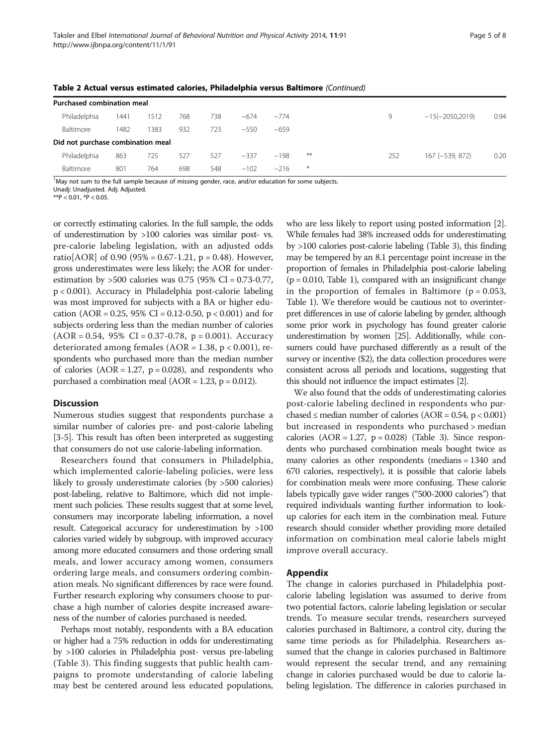| <b>Purchased combination meal</b> |      |      |     |     |        |        |       |     |                   |      |
|-----------------------------------|------|------|-----|-----|--------|--------|-------|-----|-------------------|------|
| Philadelphia                      | 1441 | 1512 | 768 | 738 | $-674$ | $-774$ |       | 9   | $-15(-2050,2019)$ | 0.94 |
| Baltimore                         | 1482 | 1383 | 932 | 723 | $-550$ | $-659$ |       |     |                   |      |
| Did not purchase combination meal |      |      |     |     |        |        |       |     |                   |      |
| Philadelphia                      | 863  | 725  | 527 | 527 | $-337$ | $-198$ | $***$ | 252 | 167 (-539, 872)   | 0.20 |
| Baltimore                         | 801  | 764  | 698 | 548 | $-102$ | $-216$ | $*$   |     |                   |      |

<span id="page-4-0"></span>Table 2 Actual versus estimated calories, Philadelphia versus Baltimore (Continued)

<sup>1</sup>May not sum to the full sample because of missing gender, race, and/or education for some subjects.

Unadj: Unadjusted. Adj: Adjusted.

 $**P < 0.01$ ,  $*P < 0.05$ .

or correctly estimating calories. In the full sample, the odds of underestimation by >100 calories was similar post- vs. pre-calorie labeling legislation, with an adjusted odds ratio[AOR] of 0.90 (95% = 0.67-1.21, p = 0.48). However, gross underestimates were less likely; the AOR for underestimation by >500 calories was 0.75 (95% CI = 0.73-0.77, p < 0.001). Accuracy in Philadelphia post-calorie labeling was most improved for subjects with a BA or higher education (AOR = 0.25, 95% CI = 0.12-0.50,  $p < 0.001$ ) and for subjects ordering less than the median number of calories  $(AOR = 0.54, 95\% \text{ CI} = 0.37 - 0.78, p = 0.001)$ . Accuracy deteriorated among females ( $AOR = 1.38$ ,  $p < 0.001$ ), respondents who purchased more than the median number of calories  $(AOR = 1.27, p = 0.028)$ , and respondents who purchased a combination meal (AOR = 1.23, p = 0.012).

## **Discussion**

Numerous studies suggest that respondents purchase a similar number of calories pre- and post-calorie labeling [[3-5\]](#page-7-0). This result has often been interpreted as suggesting that consumers do not use calorie-labeling information.

Researchers found that consumers in Philadelphia, which implemented calorie-labeling policies, were less likely to grossly underestimate calories (by >500 calories) post-labeling, relative to Baltimore, which did not implement such policies. These results suggest that at some level, consumers may incorporate labeling information, a novel result. Categorical accuracy for underestimation by >100 calories varied widely by subgroup, with improved accuracy among more educated consumers and those ordering small meals, and lower accuracy among women, consumers ordering large meals, and consumers ordering combination meals. No significant differences by race were found. Further research exploring why consumers choose to purchase a high number of calories despite increased awareness of the number of calories purchased is needed.

Perhaps most notably, respondents with a BA education or higher had a 75% reduction in odds for underestimating by >100 calories in Philadelphia post- versus pre-labeling (Table [3](#page-5-0)). This finding suggests that public health campaigns to promote understanding of calorie labeling may best be centered around less educated populations, who are less likely to report using posted information [[2](#page-7-0)]. While females had 38% increased odds for underestimating by >100 calories post-calorie labeling (Table [3\)](#page-5-0), this finding may be tempered by an 8.1 percentage point increase in the proportion of females in Philadelphia post-calorie labeling  $(p = 0.010,$  Table [1\)](#page-2-0), compared with an insignificant change in the proportion of females in Baltimore ( $p = 0.053$ , Table [1\)](#page-2-0). We therefore would be cautious not to overinterpret differences in use of calorie labeling by gender, although some prior work in psychology has found greater calorie underestimation by women [\[25](#page-7-0)]. Additionally, while consumers could have purchased differently as a result of the survey or incentive (\$2), the data collection procedures were consistent across all periods and locations, suggesting that this should not influence the impact estimates [\[2](#page-7-0)].

We also found that the odds of underestimating calories post-calorie labeling declined in respondents who purchased  $\leq$  median number of calories (AOR = 0.54, p  $<$  0.001) but increased in respondents who purchased > median calories  $(AOR = 1.27, p = 0.028)$  (Table [3](#page-5-0)). Since respondents who purchased combination meals bought twice as many calories as other respondents (medians = 1340 and 670 calories, respectively), it is possible that calorie labels for combination meals were more confusing. These calorie labels typically gave wider ranges ("500-2000 calories") that required individuals wanting further information to lookup calories for each item in the combination meal. Future research should consider whether providing more detailed information on combination meal calorie labels might improve overall accuracy.

## Appendix

The change in calories purchased in Philadelphia postcalorie labeling legislation was assumed to derive from two potential factors, calorie labeling legislation or secular trends. To measure secular trends, researchers surveyed calories purchased in Baltimore, a control city, during the same time periods as for Philadelphia. Researchers assumed that the change in calories purchased in Baltimore would represent the secular trend, and any remaining change in calories purchased would be due to calorie labeling legislation. The difference in calories purchased in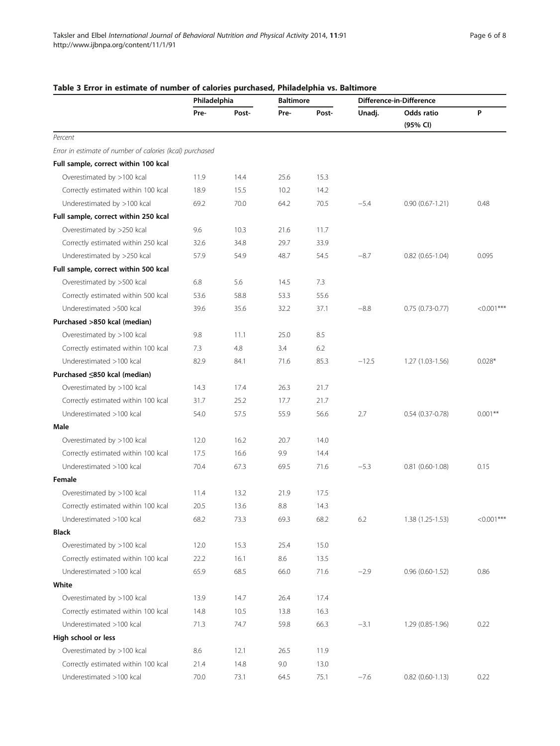|                                                          | Philadelphia |       | <b>Baltimore</b> |       | Difference-in-Difference |                        |              |
|----------------------------------------------------------|--------------|-------|------------------|-------|--------------------------|------------------------|--------------|
|                                                          | Pre-         | Post- | Pre-             | Post- | Unadj.                   | Odds ratio             | P            |
|                                                          |              |       |                  |       |                          | (95% CI)               |              |
| Percent                                                  |              |       |                  |       |                          |                        |              |
| Error in estimate of number of calories (kcal) purchased |              |       |                  |       |                          |                        |              |
| Full sample, correct within 100 kcal                     |              |       |                  |       |                          |                        |              |
| Overestimated by >100 kcal                               | 11.9         | 14.4  | 25.6             | 15.3  |                          |                        |              |
| Correctly estimated within 100 kcal                      | 18.9         | 15.5  | 10.2             | 14.2  |                          |                        |              |
| Underestimated by >100 kcal                              | 69.2         | 70.0  | 64.2             | 70.5  | $-5.4$                   | $0.90(0.67 - 1.21)$    | 0.48         |
| Full sample, correct within 250 kcal                     |              |       |                  |       |                          |                        |              |
| Overestimated by >250 kcal                               | 9.6          | 10.3  | 21.6             | 11.7  |                          |                        |              |
| Correctly estimated within 250 kcal                      | 32.6         | 34.8  | 29.7             | 33.9  |                          |                        |              |
| Underestimated by >250 kcal                              | 57.9         | 54.9  | 48.7             | 54.5  | $-8.7$                   | $0.82$ $(0.65 - 1.04)$ | 0.095        |
| Full sample, correct within 500 kcal                     |              |       |                  |       |                          |                        |              |
| Overestimated by >500 kcal                               | 6.8          | 5.6   | 14.5             | 7.3   |                          |                        |              |
| Correctly estimated within 500 kcal                      | 53.6         | 58.8  | 53.3             | 55.6  |                          |                        |              |
| Underestimated >500 kcal                                 | 39.6         | 35.6  | 32.2             | 37.1  | $-8.8$                   | $0.75(0.73-0.77)$      | $< 0.001***$ |
| Purchased >850 kcal (median)                             |              |       |                  |       |                          |                        |              |
| Overestimated by >100 kcal                               | 9.8          | 11.1  | 25.0             | 8.5   |                          |                        |              |
| Correctly estimated within 100 kcal                      | 7.3          | 4.8   | 3.4              | 6.2   |                          |                        |              |
| Underestimated >100 kcal                                 | 82.9         | 84.1  | 71.6             | 85.3  | $-12.5$                  | $1.27(1.03-1.56)$      | $0.028*$     |
| Purchased ≤850 kcal (median)                             |              |       |                  |       |                          |                        |              |
| Overestimated by >100 kcal                               | 14.3         | 17.4  | 26.3             | 21.7  |                          |                        |              |
| Correctly estimated within 100 kcal                      | 31.7         | 25.2  | 17.7             | 21.7  |                          |                        |              |
| Underestimated >100 kcal                                 | 54.0         | 57.5  | 55.9             | 56.6  | 2.7                      | $0.54(0.37-0.78)$      | $0.001***$   |
| Male                                                     |              |       |                  |       |                          |                        |              |
| Overestimated by >100 kcal                               | 12.0         | 16.2  | 20.7             | 14.0  |                          |                        |              |
| Correctly estimated within 100 kcal                      | 17.5         | 16.6  | 9.9              | 14.4  |                          |                        |              |
| Underestimated >100 kcal                                 | 70.4         | 67.3  | 69.5             | 71.6  | $-5.3$                   | $0.81$ $(0.60 - 1.08)$ | 0.15         |
| Female                                                   |              |       |                  |       |                          |                        |              |
| Overestimated by >100 kcal                               | 11.4         | 13.2  | 21.9             | 17.5  |                          |                        |              |
| Correctly estimated within 100 kcal                      | 20.5         | 13.6  | 8.8              | 14.3  |                          |                        |              |
| Underestimated >100 kcal                                 | 68.2         | 73.3  | 69.3             | 68.2  | 6.2                      | $1.38(1.25-1.53)$      | $< 0.001***$ |
| <b>Black</b>                                             |              |       |                  |       |                          |                        |              |
| Overestimated by >100 kcal                               | 12.0         | 15.3  | 25.4             | 15.0  |                          |                        |              |
| Correctly estimated within 100 kcal                      | 22.2         | 16.1  | 8.6              | 13.5  |                          |                        |              |
| Underestimated >100 kcal                                 | 65.9         | 68.5  | 66.0             | 71.6  | $-2.9$                   | $0.96(0.60-1.52)$      | 0.86         |
| White                                                    |              |       |                  |       |                          |                        |              |
| Overestimated by >100 kcal                               | 13.9         | 14.7  | 26.4             | 17.4  |                          |                        |              |
| Correctly estimated within 100 kcal                      | 14.8         | 10.5  | 13.8             | 16.3  |                          |                        |              |
| Underestimated >100 kcal                                 | 71.3         | 74.7  | 59.8             | 66.3  | $-3.1$                   | 1.29 (0.85-1.96)       | 0.22         |
| High school or less                                      |              |       |                  |       |                          |                        |              |
| Overestimated by >100 kcal                               | 8.6          | 12.1  | 26.5             | 11.9  |                          |                        |              |
| Correctly estimated within 100 kcal                      | 21.4         | 14.8  | 9.0              | 13.0  |                          |                        |              |
| Underestimated >100 kcal                                 | 70.0         | 73.1  | 64.5             | 75.1  | $-7.6$                   | $0.82$ (0.60-1.13)     | 0.22         |

## <span id="page-5-0"></span>Table 3 Error in estimate of number of calories purchased, Philadelphia vs. Baltimore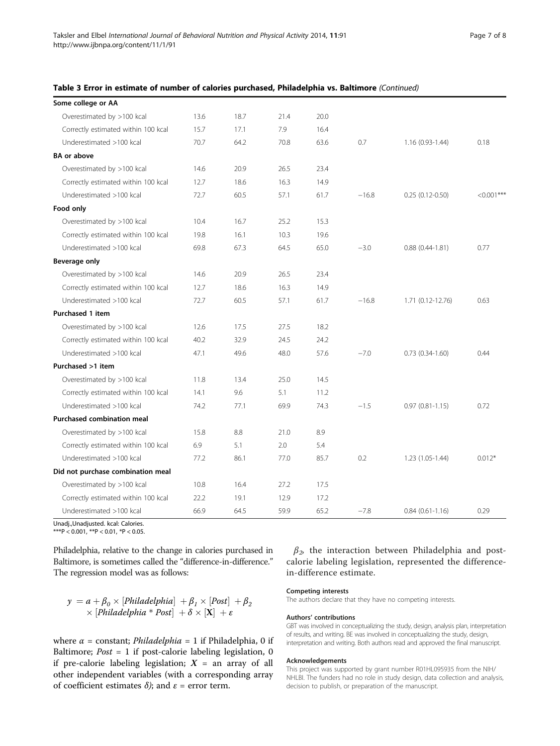|  | Table 3 Error in estimate of number of calories purchased, Philadelphia vs. Baltimore (Continued) |
|--|---------------------------------------------------------------------------------------------------|
|--|---------------------------------------------------------------------------------------------------|

| Some college or AA                  |      |      |      |      |         |                     |               |
|-------------------------------------|------|------|------|------|---------|---------------------|---------------|
| Overestimated by >100 kcal          | 13.6 | 18.7 | 21.4 | 20.0 |         |                     |               |
| Correctly estimated within 100 kcal | 15.7 | 17.1 | 7.9  | 16.4 |         |                     |               |
| Underestimated >100 kcal            | 70.7 | 64.2 | 70.8 | 63.6 | 0.7     | 1.16 (0.93-1.44)    | 0.18          |
| <b>BA</b> or above                  |      |      |      |      |         |                     |               |
| Overestimated by >100 kcal          | 14.6 | 20.9 | 26.5 | 23.4 |         |                     |               |
| Correctly estimated within 100 kcal | 12.7 | 18.6 | 16.3 | 14.9 |         |                     |               |
| Underestimated >100 kcal            | 72.7 | 60.5 | 57.1 | 61.7 | $-16.8$ | $0.25(0.12-0.50)$   | $< 0.001$ *** |
| Food only                           |      |      |      |      |         |                     |               |
| Overestimated by >100 kcal          | 10.4 | 16.7 | 25.2 | 15.3 |         |                     |               |
| Correctly estimated within 100 kcal | 19.8 | 16.1 | 10.3 | 19.6 |         |                     |               |
| Underestimated >100 kcal            | 69.8 | 67.3 | 64.5 | 65.0 | $-3.0$  | $0.88(0.44 - 1.81)$ | 0.77          |
| Beverage only                       |      |      |      |      |         |                     |               |
| Overestimated by >100 kcal          | 14.6 | 20.9 | 26.5 | 23.4 |         |                     |               |
| Correctly estimated within 100 kcal | 12.7 | 18.6 | 16.3 | 14.9 |         |                     |               |
| Underestimated >100 kcal            | 72.7 | 60.5 | 57.1 | 61.7 | $-16.8$ | 1.71 (0.12-12.76)   | 0.63          |
| Purchased 1 item                    |      |      |      |      |         |                     |               |
| Overestimated by >100 kcal          | 12.6 | 17.5 | 27.5 | 18.2 |         |                     |               |
| Correctly estimated within 100 kcal | 40.2 | 32.9 | 24.5 | 24.2 |         |                     |               |
| Underestimated >100 kcal            | 47.1 | 49.6 | 48.0 | 57.6 | $-7.0$  | $0.73(0.34-1.60)$   | 0.44          |
| Purchased >1 item                   |      |      |      |      |         |                     |               |
| Overestimated by >100 kcal          | 11.8 | 13.4 | 25.0 | 14.5 |         |                     |               |
| Correctly estimated within 100 kcal | 14.1 | 9.6  | 5.1  | 11.2 |         |                     |               |
| Underestimated >100 kcal            | 74.2 | 77.1 | 69.9 | 74.3 | $-1.5$  | $0.97(0.81 - 1.15)$ | 0.72          |
| Purchased combination meal          |      |      |      |      |         |                     |               |
| Overestimated by >100 kcal          | 15.8 | 8.8  | 21.0 | 8.9  |         |                     |               |
| Correctly estimated within 100 kcal | 6.9  | 5.1  | 2.0  | 5.4  |         |                     |               |
| Underestimated >100 kcal            | 77.2 | 86.1 | 77.0 | 85.7 | 0.2     | $1.23(1.05-1.44)$   | $0.012*$      |
| Did not purchase combination meal   |      |      |      |      |         |                     |               |
| Overestimated by >100 kcal          | 10.8 | 16.4 | 27.2 | 17.5 |         |                     |               |
| Correctly estimated within 100 kcal | 22.2 | 19.1 | 12.9 | 17.2 |         |                     |               |
| Underestimated >100 kcal            | 66.9 | 64.5 | 59.9 | 65.2 | $-7.8$  | $0.84(0.61-1.16)$   | 0.29          |

Unadj.,Unadjusted. kcal: Calories.

\*\*\*P < 0.001, \*\*P < 0.01, \*P < 0.05.

Philadelphia, relative to the change in calories purchased in Baltimore, is sometimes called the "difference-in-difference." The regression model was as follows:

$$
\begin{array}{l} y = a + \beta_0 \times [Philadelphia] \ + \beta_1 \times [Post] \ + \beta_2 \\ \times \ [Philadelphia * Post] \ + \ \delta \times [X] \ + \ \epsilon \end{array}
$$

where  $\alpha$  = constant; *Philadelphia* = 1 if Philadelphia, 0 if Baltimore;  $Post = 1$  if post-calorie labeling legislation, 0 if pre-calorie labeling legislation;  $X =$  an array of all other independent variables (with a corresponding array of coefficient estimates  $\delta$ ); and  $\varepsilon$  = error term.

 $\beta_2$  the interaction between Philadelphia and postcalorie labeling legislation, represented the differencein-difference estimate.

## Competing interests

The authors declare that they have no competing interests.

### Authors' contributions

GBT was involved in conceptualizing the study, design, analysis plan, interpretation of results, and writing. BE was involved in conceptualizing the study, design, interpretation and writing. Both authors read and approved the final manuscript.

## Acknowledgements

This project was supported by grant number R01HL095935 from the NIH/ NHLBI. The funders had no role in study design, data collection and analysis, decision to publish, or preparation of the manuscript.